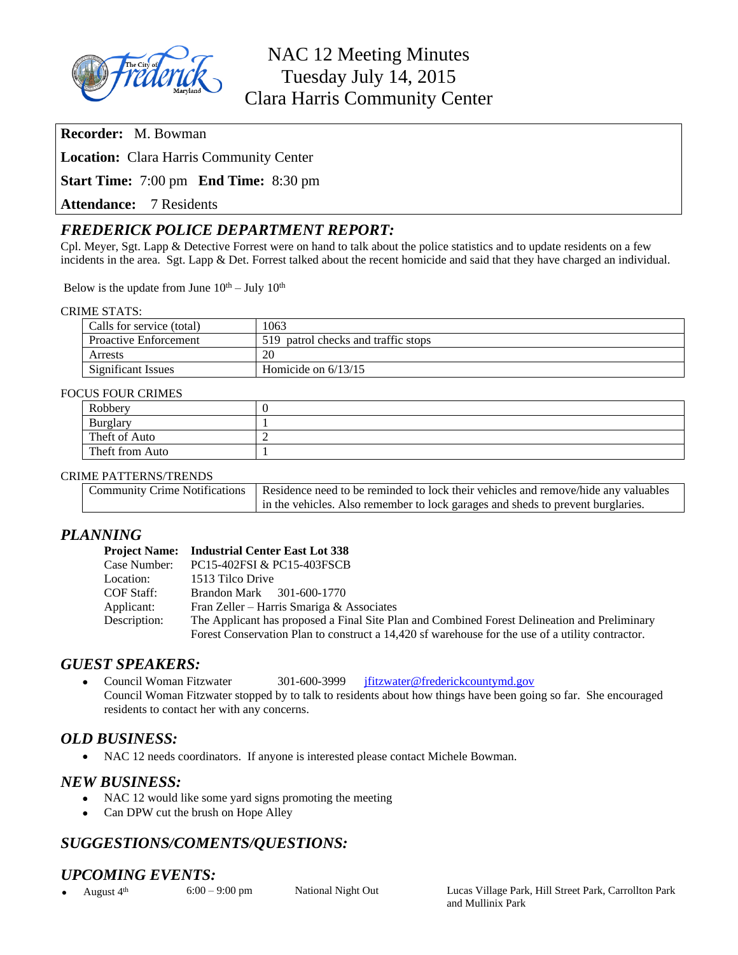

**Recorder:** M. Bowman

**Location:** Clara Harris Community Center

**Start Time:** 7:00 pm **End Time:** 8:30 pm

**Attendance:** 7 Residents

# *FREDERICK POLICE DEPARTMENT REPORT:*

Cpl. Meyer, Sgt. Lapp & Detective Forrest were on hand to talk about the police statistics and to update residents on a few incidents in the area. Sgt. Lapp & Det. Forrest talked about the recent homicide and said that they have charged an individual.

Below is the update from June  $10^{th}$  – July  $10^{th}$ 

#### CRIME STATS:

| Calls for service (total)    | 1063                                |
|------------------------------|-------------------------------------|
| <b>Proactive Enforcement</b> | 519 patrol checks and traffic stops |
| Arrests                      | 20                                  |
| <b>Significant Issues</b>    | Homicide on $6/13/15$               |

#### FOCUS FOUR CRIMES

| Robbery         |  |  |
|-----------------|--|--|
| Burglary        |  |  |
| Theft of Auto   |  |  |
| Theft from Auto |  |  |

#### CRIME PATTERNS/TRENDS

| Community Crime Notifications   Residence need to be reminded to lock their vehicles and remove/hide any valuables |
|--------------------------------------------------------------------------------------------------------------------|
| in the vehicles. Also remember to lock garages and sheds to prevent burglaries.                                    |

## *PLANNING*

|              | <b>Project Name:</b> Industrial Center East Lot 338                                              |  |
|--------------|--------------------------------------------------------------------------------------------------|--|
| Case Number: | PC15-402FSI & PC15-403FSCB                                                                       |  |
| Location:    | 1513 Tilco Drive                                                                                 |  |
| COF Staff:   | Brandon Mark 301-600-1770                                                                        |  |
| Applicant:   | Fran Zeller – Harris Smariga & Associates                                                        |  |
| Description: | The Applicant has proposed a Final Site Plan and Combined Forest Delineation and Preliminary     |  |
|              | Forest Conservation Plan to construct a 14,420 sf warehouse for the use of a utility contractor. |  |

### *GUEST SPEAKERS:*

• Council Woman Fitzwater 301-600-3999 ifitzwater@frederickcountymd.gov Council Woman Fitzwater stopped by to talk to residents about how things have been going so far. She encouraged residents to contact her with any concerns.

### *OLD BUSINESS:*

NAC 12 needs coordinators. If anyone is interested please contact Michele Bowman.

### *NEW BUSINESS:*

- NAC 12 would like some yard signs promoting the meeting
- Can DPW cut the brush on Hope Alley

# *SUGGESTIONS/COMENTS/QUESTIONS:*

### *UPCOMING EVENTS:*